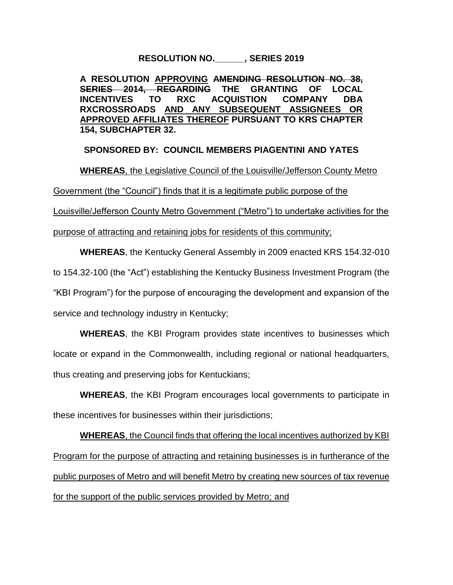**RESOLUTION NO.\_\_\_\_\_\_, SERIES 2019**

**A RESOLUTION APPROVING AMENDING RESOLUTION NO. 38, SERIES 2014, REGARDING THE GRANTING OF LOCAL INCENTIVES TO RXC ACQUISTION COMPANY DBA RXCROSSROADS AND ANY SUBSEQUENT ASSIGNEES OR APPROVED AFFILIATES THEREOF PURSUANT TO KRS CHAPTER 154, SUBCHAPTER 32.** 

**SPONSORED BY: COUNCIL MEMBERS PIAGENTINI AND YATES**

**WHEREAS**, the Legislative Council of the Louisville/Jefferson County Metro

Government (the "Council") finds that it is a legitimate public purpose of the

Louisville/Jefferson County Metro Government ("Metro") to undertake activities for the

purpose of attracting and retaining jobs for residents of this community;

**WHEREAS**, the Kentucky General Assembly in 2009 enacted KRS 154.32-010 to 154.32-100 (the "Act") establishing the Kentucky Business Investment Program (the "KBI Program") for the purpose of encouraging the development and expansion of the service and technology industry in Kentucky;

**WHEREAS**, the KBI Program provides state incentives to businesses which locate or expand in the Commonwealth, including regional or national headquarters, thus creating and preserving jobs for Kentuckians;

**WHEREAS**, the KBI Program encourages local governments to participate in these incentives for businesses within their jurisdictions;

**WHEREAS**, the Council finds that offering the local incentives authorized by KBI Program for the purpose of attracting and retaining businesses is in furtherance of the public purposes of Metro and will benefit Metro by creating new sources of tax revenue for the support of the public services provided by Metro; and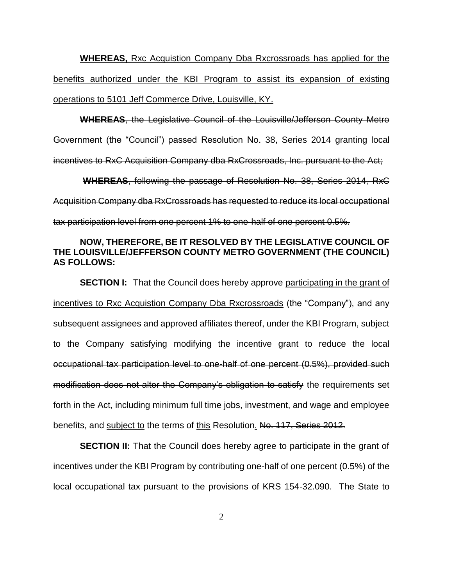**WHEREAS,** Rxc Acquistion Company Dba Rxcrossroads has applied for the benefits authorized under the KBI Program to assist its expansion of existing operations to 5101 Jeff Commerce Drive, Louisville, KY.

**WHEREAS**, the Legislative Council of the Louisville/Jefferson County Metro

Government (the "Council") passed Resolution No. 38, Series 2014 granting local

incentives to RxC Acquisition Company dba RxCrossroads, Inc. pursuant to the Act;

 **WHEREAS**, following the passage of Resolution No. 38, Series 2014, RxC Acquisition Company dba RxCrossroads has requested to reduce its local occupational tax participation level from one percent 1% to one-half of one percent 0.5%.

## **NOW, THEREFORE, BE IT RESOLVED BY THE LEGISLATIVE COUNCIL OF THE LOUISVILLE/JEFFERSON COUNTY METRO GOVERNMENT (THE COUNCIL) AS FOLLOWS:**

**SECTION I:** That the Council does hereby approve participating in the grant of incentives to Rxc Acquistion Company Dba Rxcrossroads (the "Company"), and any subsequent assignees and approved affiliates thereof, under the KBI Program, subject to the Company satisfying modifying the incentive grant to reduce the local occupational tax participation level to one-half of one percent (0.5%), provided such modification does not alter the Company's obligation to satisfy the requirements set forth in the Act, including minimum full time jobs, investment, and wage and employee benefits, and subject to the terms of this Resolution. No. 117, Series 2012.

**SECTION II:** That the Council does hereby agree to participate in the grant of incentives under the KBI Program by contributing one-half of one percent (0.5%) of the local occupational tax pursuant to the provisions of KRS 154-32.090. The State to